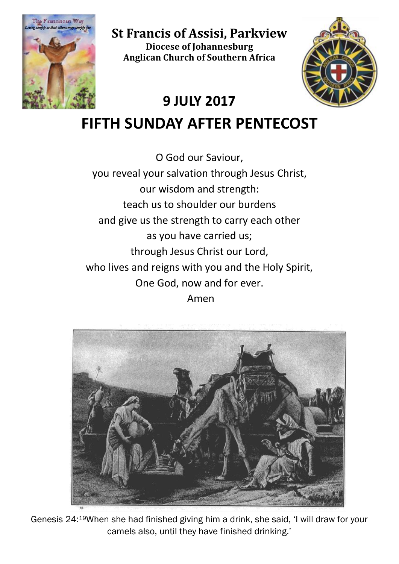

**St Francis of Assisi, Parkview Diocese of Johannesburg Anglican Church of Southern Africa**



# **9 JULY 2017**

**FIFTH SUNDAY AFTER PENTECOST**

O God our Saviour, you reveal your salvation through Jesus Christ, our wisdom and strength: teach us to shoulder our burdens and give us the strength to carry each other as you have carried us; through Jesus Christ our Lord, who lives and reigns with you and the Holy Spirit, One God, now and for ever.

Amen



Genesis 24:19When she had finished giving him a drink, she said, 'I will draw for your camels also, until they have finished drinking.'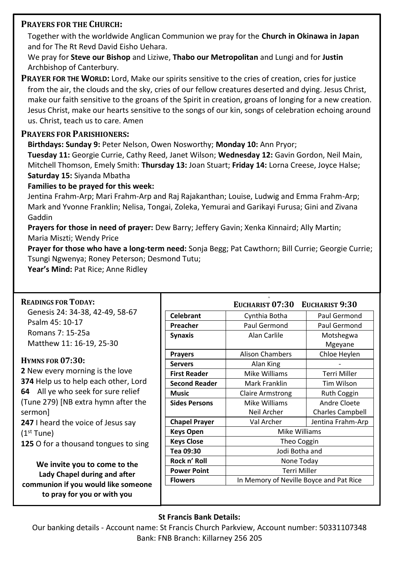## **PRAYERS FOR THE CHURCH:**

Together with the worldwide Anglican Communion we pray for the **Church in Okinawa in Japan** and for The Rt Revd David Eisho Uehara.

We pray for **Steve our Bishop** and Liziwe, **Thabo our Metropolitan** and Lungi and for **Justin** Archbishop of Canterbury.

**PRAYER FOR THE WORLD:** Lord, Make our spirits sensitive to the cries of creation, cries for justice from the air, the clouds and the sky, cries of our fellow creatures deserted and dying. Jesus Christ, make our faith sensitive to the groans of the Spirit in creation, groans of longing for a new creation. Jesus Christ, make our hearts sensitive to the songs of our kin, songs of celebration echoing around us. Christ, teach us to care. Amen

#### **PRAYERS FOR PARISHIONERS:**

**Birthdays: Sunday 9:** Peter Nelson, Owen Nosworthy; **Monday 10:** Ann Pryor;

**Tuesday 11:** Georgie Currie, Cathy Reed, Janet Wilson; **Wednesday 12:** Gavin Gordon, Neil Main, Mitchell Thomson, Emely Smith: **Thursday 13:** Joan Stuart; **Friday 14:** Lorna Creese, Joyce Halse; **Saturday 15:** Siyanda Mbatha

#### **Families to be prayed for this week:**

Jentina Frahm-Arp; Mari Frahm-Arp and Raj Rajakanthan; Louise, Ludwig and Emma Frahm-Arp; Mark and Yvonne Franklin; Nelisa, Tongai, Zoleka, Yemurai and Garikayi Furusa; Gini and Zivana Gaddin

**Prayers for those in need of prayer:** Dew Barry; Jeffery Gavin; Xenka Kinnaird; Ally Martin; Maria Miszti; Wendy Price

**Prayer for those who have a long-term need:** Sonja Begg; Pat Cawthorn; Bill Currie; Georgie Currie; Tsungi Ngwenya; Roney Peterson; Desmond Tutu;

Year's Mind: Pat Rice; Anne Ridley

| <b>READINGS FOR TODAY:</b>                                                                                                         |                      | EUCHARIST 07:30 EUCHARIST 9:30          |                     |
|------------------------------------------------------------------------------------------------------------------------------------|----------------------|-----------------------------------------|---------------------|
| Genesis 24: 34-38, 42-49, 58-67                                                                                                    | <b>Celebrant</b>     | Cynthia Botha                           | Paul Germond        |
| Psalm 45: 10-17                                                                                                                    | Preacher             | Paul Germond                            | Paul Germond        |
| Romans 7: 15-25a                                                                                                                   | <b>Synaxis</b>       | Alan Carlile                            | Motshegwa           |
| Matthew 11: 16-19, 25-30                                                                                                           |                      |                                         | Mgeyane             |
| <b>HYMNS FOR 07:30:</b>                                                                                                            | <b>Prayers</b>       | <b>Alison Chambers</b>                  | Chloe Heylen        |
|                                                                                                                                    | <b>Servers</b>       | Alan King                               |                     |
| <b>2</b> New every morning is the love                                                                                             | <b>First Reader</b>  | Mike Williams                           | <b>Terri Miller</b> |
| 374 Help us to help each other, Lord<br>64 All ye who seek for sure relief                                                         | <b>Second Reader</b> | Mark Franklin                           | Tim Wilson          |
|                                                                                                                                    | Music                | <b>Claire Armstrong</b>                 | <b>Ruth Coggin</b>  |
| (Tune 279) [NB extra hymn after the                                                                                                | <b>Sides Persons</b> | Mike Williams                           | Andre Cloete        |
| sermon                                                                                                                             |                      | Neil Archer                             | Charles Campbell    |
| 247 I heard the voice of Jesus say                                                                                                 | <b>Chapel Prayer</b> | Val Archer                              | Jentina Frahm-Arp   |
| $(1st$ Tune)                                                                                                                       | <b>Keys Open</b>     | Mike Williams                           |                     |
| 125 O for a thousand tongues to sing                                                                                               | <b>Keys Close</b>    | Theo Coggin                             |                     |
|                                                                                                                                    | Tea 09:30            | Jodi Botha and                          |                     |
| We invite you to come to the<br>Lady Chapel during and after<br>communion if you would like someone<br>to pray for you or with you | Rock n' Roll         | None Today                              |                     |
|                                                                                                                                    | <b>Power Point</b>   | <b>Terri Miller</b>                     |                     |
|                                                                                                                                    | <b>Flowers</b>       | In Memory of Neville Boyce and Pat Rice |                     |
|                                                                                                                                    |                      |                                         |                     |

## **St Francis Bank Details:**

Our banking details - Account name: St Francis Church Parkview, Account number: 50331107348 Bank: FNB Branch: Killarney 256 205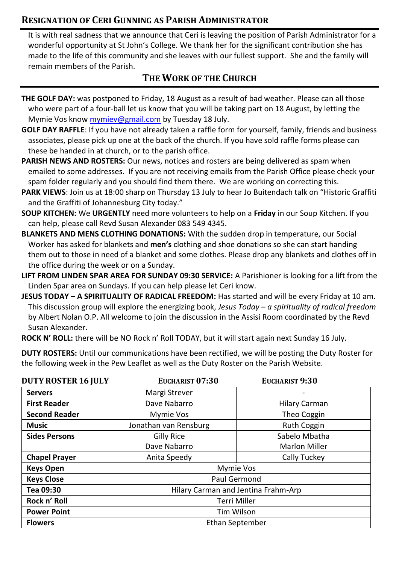## **RESIGNATION OF CERI GUNNING AS PARISH ADMINISTRATOR**

It is with real sadness that we announce that Ceri is leaving the position of Parish Administrator for a wonderful opportunity at St John's College. We thank her for the significant contribution she has made to the life of this community and she leaves with our fullest support. She and the family will remain members of the Parish.

## **THE WORK OF THE CHURCH**

- **THE GOLF DAY:** was postponed to Friday, 18 August as a result of bad weather. Please can all those who were part of a four-ball let us know that you will be taking part on 18 August, by letting the Mymie Vos know [mymiev@gmail.com](mailto:mymiev@gmail.com) by Tuesday 18 July.
- **GOLF DAY RAFFLE**: If you have not already taken a raffle form for yourself, family, friends and business associates, please pick up one at the back of the church. If you have sold raffle forms please can these be handed in at church, or to the parish office.
- **PARISH NEWS AND ROSTERS:** Our news, notices and rosters are being delivered as spam when emailed to some addresses. If you are not receiving emails from the Parish Office please check your spam folder regularly and you should find them there. We are working on correcting this.
- **PARK VIEWS**: Join us at 18:00 sharp on Thursday 13 July to hear Jo Buitendach talk on "Historic Graffiti and the Graffiti of Johannesburg City today."
- **SOUP KITCHEN:** We **URGENTLY** need more volunteers to help on a **Friday** in our Soup Kitchen. If you can help, please call Revd Susan Alexander 083 549 4345.
- **BLANKETS AND MENS CLOTHING DONATIONS:** With the sudden drop in temperature, our Social Worker has asked for blankets and **men's** clothing and shoe donations so she can start handing them out to those in need of a blanket and some clothes. Please drop any blankets and clothes off in the office during the week or on a Sunday.
- **LIFT FROM LINDEN SPAR AREA FOR SUNDAY 09:30 SERVICE:** A Parishioner is looking for a lift from the Linden Spar area on Sundays. If you can help please let Ceri know.
- **JESUS TODAY – A SPIRITUALITY OF RADICAL FREEDOM:** Has started and will be every Friday at 10 am. This discussion group will explore the energizing book, *Jesus Today – a spirituality of radical freedom* by Albert Nolan O.P. All welcome to join the discussion in the Assisi Room coordinated by the Revd Susan Alexander.
- **ROCK N' ROLL:** there will be NO Rock n' Roll TODAY, but it will start again next Sunday 16 July.

**DUTY ROSTERS:** Until our communications have been rectified, we will be posting the Duty Roster for the following week in the Pew Leaflet as well as the Duty Roster on the Parish Website.

| <b>DUTY ROSTER 16 JULY</b> | EUCHARIST 07:30                     | EUCHARIST 9:30       |
|----------------------------|-------------------------------------|----------------------|
| <b>Servers</b>             | Margi Strever                       |                      |
| <b>First Reader</b>        | Dave Nabarro                        | Hilary Carman        |
| <b>Second Reader</b>       | Mymie Vos                           | Theo Coggin          |
| Music                      | Jonathan van Rensburg               | <b>Ruth Coggin</b>   |
| <b>Sides Persons</b>       | Gilly Rice                          | Sabelo Mbatha        |
|                            | Dave Nabarro                        | <b>Marlon Miller</b> |
| <b>Chapel Prayer</b>       | Anita Speedy                        | Cally Tuckey         |
| <b>Keys Open</b>           | Mymie Vos                           |                      |
| <b>Keys Close</b>          | Paul Germond                        |                      |
| Tea 09:30                  | Hilary Carman and Jentina Frahm-Arp |                      |
| Rock n' Roll               | Terri Miller                        |                      |
| <b>Power Point</b>         | Tim Wilson                          |                      |
| <b>Flowers</b>             | Ethan September                     |                      |